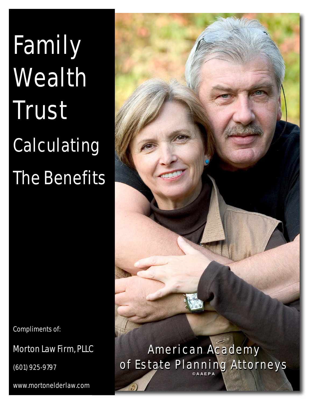# Family Wealth Trust Calculating The Benefits

Compliments of:

Morton Law Firm, PLLC

(601) 925-9797

www.mortonelderlaw.com



of Estate Planning Attorneys **©AAEPA**  of Estate Planning Attorneys **©AAEPA**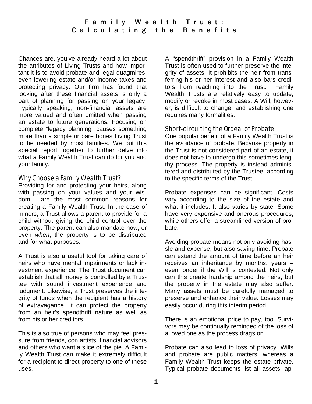Chances are, you've already heard a lot about the attributes of Living Trusts and how important it is to avoid probate and legal quagmires, even lowering estate and/or income taxes and protecting privacy. Our firm has found that looking after these financial assets is only a part of planning for passing on your legacy. Typically speaking, non-financial assets are more valued and often omitted when passing an estate to future generations. Focusing on complete "legacy planning" causes something more than a simple or bare bones Living Trust to be needed by most families. We put this special report together to further delve into what a Family Wealth Trust can do for you and your family.

# Why Choose a Family Wealth Trust?

Providing for and protecting your heirs, along with passing on your values and your wisdom… are the most common reasons for creating a Family Wealth Trust. In the case of minors, a Trust allows a parent to provide for a child without giving the child control over the property. The parent can also mandate how, or even *when*, the property is to be distributed and for what purposes.

A Trust is also a useful tool for taking care of heirs who have mental impairments or lack investment experience. The Trust document can establish that all money is controlled by a Trustee with sound investment experience and judgment. Likewise, a Trust preserves the integrity of funds when the recipient has a history of extravagance. It can protect the property from an heir's spendthrift nature as well as from his or her creditors.

This is also true of persons who may feel pressure from friends, con artists, financial advisors and others who want a slice of the pie. A Family Wealth Trust can make it extremely difficult for a recipient to direct property to one of these uses.

A "spendthrift" provision in a Family Wealth Trust is often used to further preserve the integrity of assets. It prohibits the heir from transferring his or her interest and also bars creditors from reaching into the Trust. Family Wealth Trusts are relatively easy to update, modify or revoke in most cases. A Will, however, is difficult to change, and establishing one requires many formalities.

# Short-circuiting the Ordeal of Probate

One popular benefit of a Family Wealth Trust is the avoidance of probate. Because property in the Trust is not considered part of an estate, it does not have to undergo this sometimes lengthy process. The property is instead administered and distributed by the Trustee, according to the specific terms of the Trust.

Probate expenses can be significant. Costs vary according to the size of the estate and what it includes. It also varies by state. Some have very expensive and onerous procedures, while others offer a streamlined version of probate.

Avoiding probate means not only avoiding hassle and expense, but also saving time. Probate can extend the amount of time before an heir receives an inheritance by months, years – even longer if the Will is contested. Not only can this create hardship among the heirs, but the property in the estate may also suffer. Many assets must be carefully managed to preserve and enhance their value. Losses may easily occur during this interim period.

There is an emotional price to pay, too. Survivors may be continually reminded of the loss of a loved one as the process drags on.

Probate can also lead to loss of privacy. Wills and probate are public matters, whereas a Family Wealth Trust keeps the estate private. Typical probate documents list all assets, ap-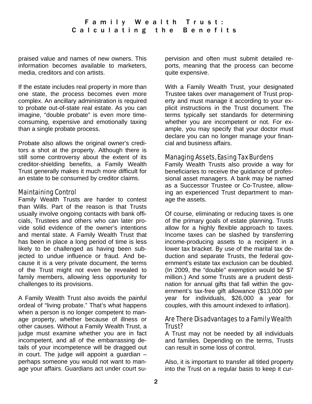praised value and names of new owners. This information becomes available to marketers, media, creditors and con artists.

If the estate includes real property in more than one state, the process becomes even more complex. An ancillary administration is required to probate out-of-state real estate. As you can imagine, "double probate" is even more timeconsuming, expensive and emotionally taxing than a single probate process.

Probate also allows the original owner's creditors a shot at the property. Although there is still some controversy about the extent of its creditor-shielding benefits, a Family Wealth Trust generally makes it much more difficult for an estate to be consumed by creditor claims.

#### Maintaining Control

Family Wealth Trusts are harder to contest than Wills. Part of the reason is that Trusts usually involve ongoing contacts with bank officials, Trustees and others who can later provide solid evidence of the owner's intentions and mental state. A Family Wealth Trust that has been in place a long period of time is less likely to be challenged as having been subjected to undue influence or fraud. And because it is a very private document, the terms of the Trust might not even be revealed to family members, allowing less opportunity for challenges to its provisions.

A Family Wealth Trust also avoids the painful ordeal of "living probate." That's what happens when a person is no longer competent to manage property, whether because of illness or other causes. Without a Family Wealth Trust, a judge must examine whether you are in fact incompetent, and all of the embarrassing details of your incompetence will be dragged out in court. The judge will appoint a guardian – perhaps someone you would not want to manage your affairs. Guardians act under court supervision and often must submit detailed reports, meaning that the process can become quite expensive.

With a Family Wealth Trust, your designated Trustee takes over management of Trust property and must manage it according to your explicit instructions in the Trust document. The terms typically set standards for determining whether you are incompetent or not. For example, you may specify that your doctor must declare you can no longer manage your financial and business affairs.

# Managing Assets, Easing Tax Burdens

Family Wealth Trusts also provide a way for beneficiaries to receive the guidance of professional asset managers. A bank may be named as a Successor Trustee or Co-Trustee, allowing an experienced Trust department to manage the assets.

Of course, eliminating or reducing taxes is one of the primary goals of estate planning. Trusts allow for a highly flexible approach to taxes. Income taxes can be slashed by transferring income-producing assets to a recipient in a lower tax bracket. By use of the marital tax deduction and separate Trusts, the federal government's estate tax exclusion can be doubled. (In 2009, the "double" exemption would be \$7 million.) And some Trusts are a prudent destination for annual gifts that fall within the government's tax-free gift allowance (\$13,000 per year for individuals, \$26,000 a year for couples, with this amount indexed to inflation).

# Are There Disadvantages to a Family Wealth Trust?

A Trust may not be needed by all individuals and families. Depending on the terms, Trusts can result in some loss of control.

Also, it is important to transfer all titled property into the Trust on a regular basis to keep it cur-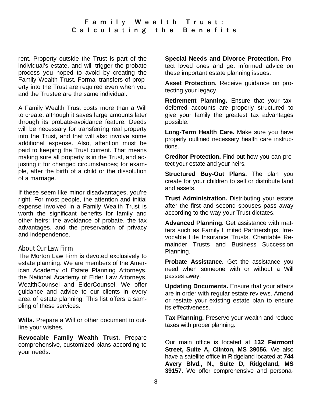# Family Wealth Trust: Calculating the Benefits

rent. Property outside the Trust is part of the individual's estate, and will trigger the probate process you hoped to avoid by creating the Family Wealth Trust. Formal transfers of property into the Trust are required even when you and the Trustee are the same individual.

A Family Wealth Trust costs more than a Will to create, although it saves large amounts later through its probate-avoidance feature. Deeds will be necessary for transferring real property into the Trust, and that will also involve some additional expense. Also, attention must be paid to keeping the Trust current. That means making sure all property is in the Trust, and adjusting it for changed circumstances; for example, after the birth of a child or the dissolution of a marriage.

If these seem like minor disadvantages, you're right. For most people, the attention and initial expense involved in a Family Wealth Trust is worth the significant benefits for family and other heirs: the avoidance of probate, the tax advantages, and the preservation of privacy and independence.

#### About Our Law Firm

The Morton Law Firm is devoted exclusively to estate planning. We are members of the American Academy of Estate Planning Attorneys, the National Academy of Elder Law Attorneys, WealthCounsel and ElderCounsel. We offer guidance and advice to our clients in every area of estate planning. This list offers a sampling of these services.

**Wills.** Prepare a Will or other document to outline your wishes.

**Revocable Family Wealth Trust.** Prepare comprehensive, customized plans according to your needs.

**Special Needs and Divorce Protection.** Protect loved ones and get informed advice on these important estate planning issues.

**Asset Protection.** Receive guidance on protecting your legacy.

**Retirement Planning.** Ensure that your taxdeferred accounts are properly structured to give your family the greatest tax advantages possible.

**Long-Term Health Care.** Make sure you have properly outlined necessary health care instructions.

**Creditor Protection.** Find out how you can protect your estate and your heirs.

**Structured Buy-Out Plans.** The plan you create for your children to sell or distribute land and assets.

**Trust Administration.** Distributing your estate after the first and second spouses pass away according to the way your Trust dictates.

**Advanced Planning.** Get assistance with matters such as Family Limited Partnerships, Irrevocable Life Insurance Trusts, Charitable Remainder Trusts and Business Succession Planning.

**Probate Assistance.** Get the assistance you need when someone with or without a Will passes away.

**Updating Documents.** Ensure that your affairs are in order with regular estate reviews. Amend or restate your existing estate plan to ensure its effectiveness.

**Tax Planning.** Preserve your wealth and reduce taxes with proper planning.

Our main office is located at **132 Fairmont Street, Suite A, Clinton, MS 39056.** We also have a satellite office in Ridgeland located at **744 Avery Blvd., N., Suite D, Ridgeland, MS 39157**. We offer comprehensive and persona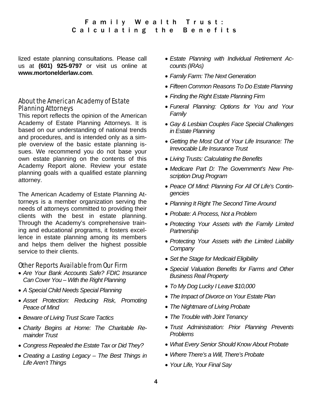lized estate planning consultations. Please call us at **(601) 925-9797** or visit us online at **www.mortonelderlaw.com**.

# About the American Academy of Estate Planning Attorneys

This report reflects the opinion of the American Academy of Estate Planning Attorneys. It is based on our understanding of national trends and procedures, and is intended only as a simple overview of the basic estate planning issues. We recommend you do not base your own estate planning on the contents of this Academy Report alone. Review your estate planning goals with a qualified estate planning attorney.

The American Academy of Estate Planning Attorneys is a member organization serving the needs of attorneys committed to providing their clients with the best in estate planning. Through the Academy's comprehensive training and educational programs, it fosters excellence in estate planning among its members and helps them deliver the highest possible service to their clients.

#### Other Reports Available from Our Firm

- *Are Your Bank Accounts Safe? FDIC Insurance Can Cover You – With the Right Planning*
- *A Special Child Needs Special Planning*
- *Asset Protection: Reducing Risk, Promoting Peace of Mind*
- *Beware of Living Trust Scare Tactics*
- *Charity Begins at Home: The Charitable Remainder Trust*
- *Congress Repealed the Estate Tax or Did They?*
- *Creating a Lasting Legacy The Best Things in Life Aren't Things*
- *Estate Planning with Individual Retirement Accounts (IRAs)*
- *Family Farm: The Next Generation*
- *Fifteen Common Reasons To Do Estate Planning*
- *Finding the Right Estate Planning Firm*
- *Funeral Planning: Options for You and Your Family*
- *Gay & Lesbian Couples Face Special Challenges in Estate Planning*
- *Getting the Most Out of Your Life Insurance: The Irrevocable Life Insurance Trust*
- *Living Trusts: Calculating the Benefits*
- *Medicare Part D: The Government's New Prescription Drug Program*
- *Peace Of Mind: Planning For All Of Life's Contingencies*
- *Planning It Right The Second Time Around*
- *Probate: A Process, Not a Problem*
- *Protecting Your Assets with the Family Limited Partnership*
- *Protecting Your Assets with the Limited Liability Company*
- *Set the Stage for Medicaid Eligibility*
- *Special Valuation Benefits for Farms and Other Business Real Property*
- *To My Dog Lucky I Leave \$10,000*
- *The Impact of Divorce on Your Estate Plan*
- *The Nightmare of Living Probate*
- *The Trouble with Joint Tenancy*
- *Trust Administration: Prior Planning Prevents Problems*
- *What Every Senior Should Know About Probate*
- *Where There's a Will, There's Probate*
- *Your Life, Your Final Say*